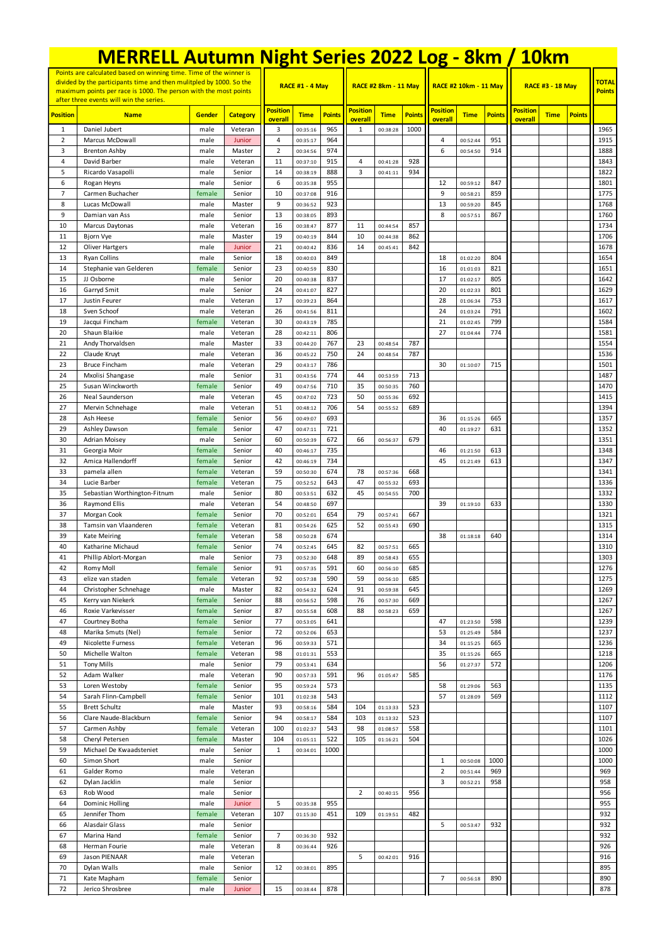|                 |                                                                                                                                           |                  | <b>MERRELL Autumn Night Series 2022 Log - 8km / 10km</b> |                      |                        |               |                         |                             |               |                 |                              |               |                 |                         |               |               |  |
|-----------------|-------------------------------------------------------------------------------------------------------------------------------------------|------------------|----------------------------------------------------------|----------------------|------------------------|---------------|-------------------------|-----------------------------|---------------|-----------------|------------------------------|---------------|-----------------|-------------------------|---------------|---------------|--|
|                 | Points are calculated based on winning time. Time of the winner is<br>divided by the participants time and then mulitpled by 1000. So the |                  |                                                          |                      | <b>RACE #1 - 4 May</b> |               |                         |                             |               |                 |                              |               |                 |                         |               | <b>TOTAL</b>  |  |
|                 | maximum points per race is 1000. The person with the most points<br>after three events will win the series.                               |                  |                                                          |                      |                        |               |                         | <b>RACE #2 8km - 11 May</b> |               |                 | <b>RACE #2 10km - 11 May</b> |               |                 | <b>RACE #3 - 18 May</b> |               | <b>Points</b> |  |
| <b>Position</b> | <b>Name</b>                                                                                                                               | Gender           | <b>Category</b>                                          | <b>Position</b>      | <b>Time</b>            | <b>Points</b> | <b>Position</b>         | <b>Time</b>                 | <b>Points</b> | <b>Position</b> | <b>Time</b>                  | <b>Points</b> | <b>Position</b> | <b>Time</b>             | <b>Points</b> |               |  |
| 1               | Daniel Jubert                                                                                                                             | male             | Veteran                                                  | overall<br>3         | 00:35:16               | 965           | overall<br>$\mathbf{1}$ | 00:38:28                    | 1000          | overall         |                              |               | overall         |                         |               | 1965          |  |
| $\overline{2}$  | <b>Marcus McDowall</b>                                                                                                                    | male             | Junior                                                   | $\overline{4}$       | 00:35:17               | 964           |                         |                             |               | 4               | 00:52:44                     | 951           |                 |                         |               | 1915          |  |
| 3<br>4          | <b>Brenton Ashby</b><br>David Barber                                                                                                      | male<br>male     | Master<br>Veteran                                        | $\overline{2}$<br>11 | 00:34:56<br>00:37:10   | 974<br>915    | 4                       | 00:41:28                    | 928           | 6               | 00:54:50                     | 914           |                 |                         |               | 1888<br>1843  |  |
| 5               | Ricardo Vasapolli                                                                                                                         | male             | Senior                                                   | 14                   | 00:38:19               | 888           | 3                       | 00:41:11                    | 934           |                 |                              |               |                 |                         |               | 1822          |  |
| 6               | Rogan Heyns                                                                                                                               | male             | Senior                                                   | 6                    | 00:35:38               | 955           |                         |                             |               | 12              | 00:59:12                     | 847           |                 |                         |               | 1801          |  |
| $\overline{7}$  | Carmen Buchacher                                                                                                                          | female           | Senior                                                   | 10                   | 00:37:08               | 916           |                         |                             |               | 9               | 00:58:21                     | 859           |                 |                         |               | 1775          |  |
| 8<br>9          | Lucas McDowall<br>Damian van Ass                                                                                                          | male<br>male     | Master<br>Senior                                         | 9<br>13              | 00:36:52<br>00:38:05   | 923<br>893    |                         |                             |               | 13<br>8         | 00:59:20<br>00:57:51         | 845<br>867    |                 |                         |               | 1768<br>1760  |  |
| 10              | Marcus Daytonas                                                                                                                           | male             | Veteran                                                  | 16                   | 00:38:47               | 877           | 11                      | 00:44:54                    | 857           |                 |                              |               |                 |                         |               | 1734          |  |
| 11              | Bjorn Vye                                                                                                                                 | male             | Master                                                   | 19                   | 00:40:19               | 844           | 10                      | 00:44:38                    | 862           |                 |                              |               |                 |                         |               | 1706          |  |
| 12              | <b>Oliver Hartgers</b>                                                                                                                    | male             | Junior                                                   | 21                   | 00:40:42               | 836           | 14                      | 00:45:41                    | 842           |                 |                              |               |                 |                         |               | 1678          |  |
| 13<br>14        | <b>Ryan Collins</b><br>Stephanie van Gelderen                                                                                             | male<br>female   | Senior<br>Senior                                         | 18<br>23             | 00:40:03<br>00:40:59   | 849<br>830    |                         |                             |               | 18<br>16        | 01:02:20<br>01:01:03         | 804<br>821    |                 |                         |               | 1654<br>1651  |  |
| 15              | JJ Osborne                                                                                                                                | male             | Senior                                                   | 20                   | 00:40:38               | 837           |                         |                             |               | 17              | 01:02:17                     | 805           |                 |                         |               | 1642          |  |
| 16              | Garryd Smit                                                                                                                               | male             | Senior                                                   | 24                   | 00:41:07               | 827           |                         |                             |               | 20              | 01:02:33                     | 801           |                 |                         |               | 1629          |  |
| 17              | Justin Feurer                                                                                                                             | male             | Veteran                                                  | 17                   | 00:39:23               | 864           |                         |                             |               | 28              | 01:06:34                     | 753           |                 |                         |               | 1617          |  |
| 18<br>19        | Sven Schoof<br>Jacqui Fincham                                                                                                             | male<br>female   | Veteran<br>Veteran                                       | 26<br>30             | 00:41:56<br>00:43:19   | 811<br>785    |                         |                             |               | 24<br>21        | 01:03:24<br>01:02:45         | 791<br>799    |                 |                         |               | 1602<br>1584  |  |
| 20              | Shaun Blaikie                                                                                                                             | male             | Veteran                                                  | 28                   | 00:42:11               | 806           |                         |                             |               | 27              | 01:04:44                     | 774           |                 |                         |               | 1581          |  |
| 21              | Andy Thorvaldsen                                                                                                                          | male             | Master                                                   | 33                   | 00:44:20               | 767           | 23                      | 00:48:54                    | 787           |                 |                              |               |                 |                         |               | 1554          |  |
| 22              | Claude Kruyt                                                                                                                              | male             | Veteran                                                  | 36                   | 00:45:22               | 750           | 24                      | 00:48:54                    | 787           |                 |                              |               |                 |                         |               | 1536          |  |
| 23<br>24        | <b>Bruce Fincham</b><br>Mxolisi Shangase                                                                                                  | male<br>male     | Veteran<br>Senior                                        | 29<br>31             | 00:43:17<br>00:43:56   | 786<br>774    | 44                      | 00:53:59                    | 713           | 30              | 01:10:07                     | 715           |                 |                         |               | 1501<br>1487  |  |
| 25              | Susan Winckworth                                                                                                                          | female           | Senior                                                   | 49                   | 00:47:56               | 710           | 35                      | 00:50:35                    | 760           |                 |                              |               |                 |                         |               | 1470          |  |
| 26              | Neal Saunderson                                                                                                                           | male             | Veteran                                                  | 45                   | 00:47:02               | 723           | 50                      | 00:55:36                    | 692           |                 |                              |               |                 |                         |               | 1415          |  |
| 27              | Mervin Schnehage                                                                                                                          | male             | Veteran                                                  | 51                   | 00:48:12               | 706           | 54                      | 00:55:52                    | 689           |                 |                              |               |                 |                         |               | 1394          |  |
| 28<br>29        | Ash Heese<br>Ashley Dawson                                                                                                                | female<br>female | Senior<br>Senior                                         | 56<br>47             | 00:49:07<br>00:47:11   | 693<br>721    |                         |                             |               | 36<br>40        | 01:15:26<br>01:19:27         | 665<br>631    |                 |                         |               | 1357<br>1352  |  |
| 30              | <b>Adrian Moisey</b>                                                                                                                      | male             | Senior                                                   | 60                   | 00:50:39               | 672           | 66                      | 00:56:37                    | 679           |                 |                              |               |                 |                         |               | 1351          |  |
| 31              | Georgia Moir                                                                                                                              | female           | Senior                                                   | 40                   | 00:46:17               | 735           |                         |                             |               | 46              | 01:21:50                     | 613           |                 |                         |               | 1348          |  |
| 32              | Amica Hallendorff                                                                                                                         | female           | Senior                                                   | 42                   | 00:46:19               | 734           |                         |                             |               | 45              | 01:21:49                     | 613           |                 |                         |               | 1347          |  |
| 33<br>34        | pamela allen<br>Lucie Barber                                                                                                              | female<br>female | Veteran<br>Veteran                                       | 59<br>75             | 00:50:30               | 674<br>643    | 78<br>47                | 00:57:36                    | 668<br>693    |                 |                              |               |                 |                         |               | 1341<br>1336  |  |
| 35              | Sebastian Worthington-Fitnum                                                                                                              | male             | Senior                                                   | 80                   | 00:52:52<br>00:53:51   | 632           | 45                      | 00:55:32<br>00:54:55        | 700           |                 |                              |               |                 |                         |               | 1332          |  |
| 36              | Raymond Ellis                                                                                                                             | male             | Veteran                                                  | 54                   | 00:48:50               | 697           |                         |                             |               | 39              | 01:19:10                     | 633           |                 |                         |               | 1330          |  |
| 37              | Morgan Cook                                                                                                                               | female           | Senior                                                   | 70                   | 00:52:01               | 654           | 79                      | 00:57:41                    | 667           |                 |                              |               |                 |                         |               | 1321          |  |
| 38<br>39        | Tamsin van Vlaanderen<br>Kate Meiring                                                                                                     | female<br>female | Veteran<br>Veteran                                       | 81<br>58             | 00:54:26<br>00:50:28   | 625<br>674    | 52                      | 00:55:43                    | 690           | 38              | 01:18:18                     | 640           |                 |                         |               | 1315<br>1314  |  |
| 40              | Katharine Michaud                                                                                                                         | female           | Senior                                                   | 74                   | 00:52:45               | 645           | 82                      | 00:57:51                    | 665           |                 |                              |               |                 |                         |               | 1310          |  |
| 41              | Phillip Ablort-Morgan                                                                                                                     | male             | Senior                                                   | 73                   | 00:52:30               | 648           | 89                      | 00:58:43                    | 655           |                 |                              |               |                 |                         |               | 1303          |  |
| 42              | Romy Moll                                                                                                                                 | female           | Senior                                                   | 91                   | 00:57:35               | 591           | 60                      | 00:56:10                    | 685           |                 |                              |               |                 |                         |               | 1276          |  |
| 43<br>44        | elize van staden<br>Christopher Schnehage                                                                                                 | female<br>male   | Veteran<br>Master                                        | 92<br>82             | 00:57:38<br>00:54:32   | 590<br>624    | 59<br>91                | 00:56:10<br>00:59:38        | 685<br>645    |                 |                              |               |                 |                         |               | 1275<br>1269  |  |
| 45              | Kerry van Niekerk                                                                                                                         | female           | Senior                                                   | 88                   | 00:56:52               | 598           | 76                      | 00:57:30                    | 669           |                 |                              |               |                 |                         |               | 1267          |  |
| 46              | Roxie Varkevisser                                                                                                                         | female           | Senior                                                   | 87                   | 00:55:58               | 608           | 88                      | 00:58:23                    | 659           |                 |                              |               |                 |                         |               | 1267          |  |
| 47              | Courtney Botha                                                                                                                            | female           | Senior                                                   | 77                   | 00:53:05               | 641           |                         |                             |               | 47              | 01:23:50                     | 598           |                 |                         |               | 1239          |  |
| 48<br>49        | Marika Smuts (Nel)<br>Nicolette Furness                                                                                                   | female<br>female | Senior<br>Veteran                                        | 72<br>96             | 00:52:06<br>00:59:33   | 653<br>571    |                         |                             |               | 53<br>34        | 01:25:49<br>01:15:25         | 584<br>665    |                 |                         |               | 1237<br>1236  |  |
| 50              | Michelle Walton                                                                                                                           | female           | Veteran                                                  | 98                   | 01:01:31               | 553           |                         |                             |               | 35              | 01:15:26                     | 665           |                 |                         |               | 1218          |  |
| 51              | <b>Tony Mills</b>                                                                                                                         | male             | Senior                                                   | 79                   | 00:53:41               | 634           |                         |                             |               | 56              | 01:27:37                     | 572           |                 |                         |               | 1206          |  |
| 52              | Adam Walker                                                                                                                               | male             | Veteran                                                  | 90                   | 00:57:33               | 591           | 96                      | 01:05:47                    | 585           |                 |                              |               |                 |                         |               | 1176          |  |
| 53<br>54        | Loren Westoby<br>Sarah Flinn-Campbell                                                                                                     | female<br>female | Senior<br>Senior                                         | 95<br>101            | 00:59:24<br>01:02:38   | 573<br>543    |                         |                             |               | 58<br>57        | 01:29:06<br>01:28:09         | 563<br>569    |                 |                         |               | 1135<br>1112  |  |
| 55              | <b>Brett Schultz</b>                                                                                                                      | male             | Master                                                   | 93                   | 00:58:16               | 584           | 104                     | 01:13:33                    | 523           |                 |                              |               |                 |                         |               | 1107          |  |
| 56              | Clare Naude-Blackburn                                                                                                                     | female           | Senior                                                   | 94                   | 00:58:17               | 584           | 103                     | 01:13:32                    | 523           |                 |                              |               |                 |                         |               | 1107          |  |
| 57              | Carmen Ashby                                                                                                                              | female           | Veteran                                                  | 100                  | 01:02:37               | 543           | 98                      | 01:08:57                    | 558           |                 |                              |               |                 |                         |               | 1101          |  |
| 58<br>59        | Cheryl Petersen                                                                                                                           | female           | Master                                                   | 104<br>$\mathbf 1$   | 01:05:11               | 522<br>1000   | 105                     | 01:16:21                    | 504           |                 |                              |               |                 |                         |               | 1026<br>1000  |  |
| 60              | Michael De Kwaadsteniet<br>Simon Short                                                                                                    | male<br>male     | Senior<br>Senior                                         |                      | 00:34:01               |               |                         |                             |               | $\mathbf{1}$    | 00:50:08                     | 1000          |                 |                         |               | 1000          |  |
| 61              | Galder Romo                                                                                                                               | male             | Veteran                                                  |                      |                        |               |                         |                             |               | $\overline{2}$  | 00:51:44                     | 969           |                 |                         |               | 969           |  |
| 62              | Dylan Jacklin                                                                                                                             | male             | Senior                                                   |                      |                        |               |                         |                             |               | 3               | 00:52:21                     | 958           |                 |                         |               | 958           |  |
| 63              | Rob Wood                                                                                                                                  | male             | Senior                                                   |                      |                        | 955           | 2                       | 00:40:15                    | 956           |                 |                              |               |                 |                         |               | 956           |  |
| 64<br>65        | Dominic Holling<br>Jennifer Thom                                                                                                          | male<br>female   | Junior<br>Veteran                                        | 5<br>107             | 00:35:38<br>01:15:30   | 451           | 109                     | 01:19:51                    | 482           |                 |                              |               |                 |                         |               | 955<br>932    |  |
| 66              | Alasdair Glass                                                                                                                            | male             | Senior                                                   |                      |                        |               |                         |                             |               | 5               | 00:53:47                     | 932           |                 |                         |               | 932           |  |
| 67              | Marina Hand                                                                                                                               | female           | Senior                                                   | $\overline{7}$       | 00:36:30               | 932           |                         |                             |               |                 |                              |               |                 |                         |               | 932           |  |
| 68<br>69        | Herman Fourie                                                                                                                             | male             | Veteran<br>Veteran                                       | 8                    | 00:36:44               | 926           | 5                       |                             | 916           |                 |                              |               |                 |                         |               | 926           |  |
| 70              | Jason PIENAAR<br>Dylan Walls                                                                                                              | male<br>male     | Senior                                                   | 12                   | 00:38:01               | 895           |                         | 00:42:01                    |               |                 |                              |               |                 |                         |               | 916<br>895    |  |
| 71              | Kate Mapham                                                                                                                               | female           | Senior                                                   |                      |                        |               |                         |                             |               | $\overline{7}$  | 00:56:18                     | 890           |                 |                         |               | 890           |  |
| 72              | Jerico Shrosbree                                                                                                                          | male             | Junior                                                   | 15                   | 00:38:44               | 878           |                         |                             |               |                 |                              |               |                 |                         |               | 878           |  |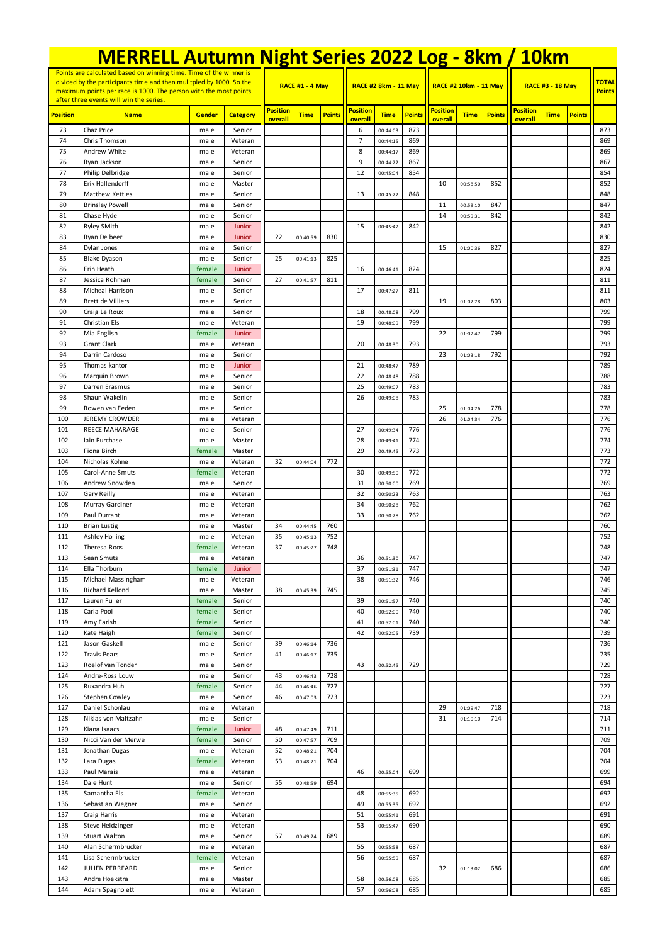|                                                                                                                                                                                                               | <b>MERRELL Autumn Night Series 2022 Log - 8km / 10km</b> |                  |                   |                            |                      |               |                             |                      |               |                            |                       |               |                            |                               |               |            |
|---------------------------------------------------------------------------------------------------------------------------------------------------------------------------------------------------------------|----------------------------------------------------------|------------------|-------------------|----------------------------|----------------------|---------------|-----------------------------|----------------------|---------------|----------------------------|-----------------------|---------------|----------------------------|-------------------------------|---------------|------------|
| Points are calculated based on winning time. Time of the winner is<br>divided by the participants time and then mulitpled by 1000. So the<br>maximum points per race is 1000. The person with the most points |                                                          |                  |                   | <b>RACE #1 - 4 May</b>     |                      |               | <b>RACE #2 8km - 11 May</b> |                      |               |                            | RACE #2 10km - 11 May |               | <b>RACE #3 - 18 May</b>    | <b>TOTAL</b><br><b>Points</b> |               |            |
|                                                                                                                                                                                                               | after three events will win the series.                  |                  |                   |                            |                      |               |                             |                      |               |                            |                       |               |                            |                               |               |            |
| <b>Position</b>                                                                                                                                                                                               | <b>Name</b>                                              | Gender           | <b>Category</b>   | <b>Position</b><br>overall | <b>Time</b>          | <b>Points</b> | <b>Position</b><br>overall  | <b>Time</b>          | <b>Points</b> | <b>Position</b><br>overall | <b>Time</b>           | <b>Points</b> | <b>Position</b><br>overall | <b>Time</b>                   | <b>Points</b> |            |
| 73                                                                                                                                                                                                            | Chaz Price                                               | male             | Senior            |                            |                      |               | 6                           | 00:44:03             | 873           |                            |                       |               |                            |                               |               | 873        |
| 74<br>75                                                                                                                                                                                                      | Chris Thomson                                            | male             | Veteran           |                            |                      |               | $\overline{7}$<br>8         | 00:44:15             | 869<br>869    |                            |                       |               |                            |                               |               | 869        |
| 76                                                                                                                                                                                                            | Andrew White<br>Ryan Jackson                             | male<br>male     | Veteran<br>Senior |                            |                      |               | 9                           | 00:44:17<br>00:44:22 | 867           |                            |                       |               |                            |                               |               | 869<br>867 |
| 77                                                                                                                                                                                                            | Philip Delbridge                                         | male             | Senior            |                            |                      |               | 12                          | 00:45:04             | 854           |                            |                       |               |                            |                               |               | 854        |
| 78                                                                                                                                                                                                            | Erik Hallendorff                                         | male             | Master            |                            |                      |               |                             |                      |               | 10                         | 00:58:50              | 852           |                            |                               |               | 852        |
| 79                                                                                                                                                                                                            | Matthew Kettles                                          | male             | Senior            |                            |                      |               | 13                          | 00:45:22             | 848           |                            |                       |               |                            |                               |               | 848        |
| 80                                                                                                                                                                                                            | <b>Brinsley Powell</b>                                   | male             | Senior            |                            |                      |               |                             |                      |               | 11                         | 00:59:10              | 847           |                            |                               |               | 847        |
| 81                                                                                                                                                                                                            | Chase Hyde                                               | male             | Senior            |                            |                      |               |                             |                      |               | 14                         | 00:59:31              | 842           |                            |                               |               | 842        |
| 82<br>83                                                                                                                                                                                                      | Ryley SMith<br>Ryan De beer                              | male<br>male     | Junior<br>Junior  | 22                         | 00:40:59             | 830           | 15                          | 00:45:42             | 842           |                            |                       |               |                            |                               |               | 842<br>830 |
| 84                                                                                                                                                                                                            | Dylan Jones                                              | male             | Senior            |                            |                      |               |                             |                      |               | 15                         | 01:00:36              | 827           |                            |                               |               | 827        |
| 85                                                                                                                                                                                                            | <b>Blake Dyason</b>                                      | male             | Senior            | 25                         | 00:41:13             | 825           |                             |                      |               |                            |                       |               |                            |                               |               | 825        |
| 86                                                                                                                                                                                                            | Erin Heath                                               | female           | Junior            |                            |                      |               | 16                          | 00:46:41             | 824           |                            |                       |               |                            |                               |               | 824        |
| 87                                                                                                                                                                                                            | Jessica Rohman                                           | female           | Senior            | 27                         | 00:41:57             | 811           |                             |                      |               |                            |                       |               |                            |                               |               | 811        |
| 88                                                                                                                                                                                                            | Micheal Harrison                                         | male             | Senior            |                            |                      |               | 17                          | 00:47:27             | 811           |                            |                       |               |                            |                               |               | 811        |
| 89<br>90                                                                                                                                                                                                      | <b>Brett de Villiers</b><br>Craig Le Roux                | male<br>male     | Senior<br>Senior  |                            |                      |               | 18                          | 00:48:08             | 799           | 19                         | 01:02:28              | 803           |                            |                               |               | 803<br>799 |
| 91                                                                                                                                                                                                            | Christian Els                                            | male             | Veteran           |                            |                      |               | 19                          | 00:48:09             | 799           |                            |                       |               |                            |                               |               | 799        |
| 92                                                                                                                                                                                                            | Mia English                                              | female           | Junior            |                            |                      |               |                             |                      |               | 22                         | 01:02:47              | 799           |                            |                               |               | 799        |
| 93                                                                                                                                                                                                            | <b>Grant Clark</b>                                       | male             | Veteran           |                            |                      |               | 20                          | 00:48:30             | 793           |                            |                       |               |                            |                               |               | 793        |
| 94                                                                                                                                                                                                            | Darrin Cardoso                                           | male             | Senior            |                            |                      |               |                             |                      |               | 23                         | 01:03:18              | 792           |                            |                               |               | 792        |
| 95                                                                                                                                                                                                            | Thomas kantor                                            | male             | Junior            |                            |                      |               | 21                          | 00:48:47             | 789           |                            |                       |               |                            |                               |               | 789        |
| 96                                                                                                                                                                                                            | Marquin Brown                                            | male             | Senior            |                            |                      |               | 22                          | 00:48:48             | 788           |                            |                       |               |                            |                               |               | 788        |
| 97                                                                                                                                                                                                            | Darren Erasmus                                           | male             | Senior            |                            |                      |               | 25                          | 00:49:07             | 783           |                            |                       |               |                            |                               |               | 783        |
| 98<br>99                                                                                                                                                                                                      | Shaun Wakelin<br>Rowen van Eeden                         | male<br>male     | Senior<br>Senior  |                            |                      |               | 26                          | 00:49:08             | 783           | 25                         | 01:04:26              | 778           |                            |                               |               | 783<br>778 |
| 100                                                                                                                                                                                                           | <b>JEREMY CROWDER</b>                                    | male             | Veteran           |                            |                      |               |                             |                      |               | 26                         | 01:04:34              | 776           |                            |                               |               | 776        |
| 101                                                                                                                                                                                                           | REECE MAHARAGE                                           | male             | Senior            |                            |                      |               | 27                          | 00:49:34             | 776           |                            |                       |               |                            |                               |               | 776        |
| 102                                                                                                                                                                                                           | Iain Purchase                                            | male             | Master            |                            |                      |               | 28                          | 00:49:41             | 774           |                            |                       |               |                            |                               |               | 774        |
| 103                                                                                                                                                                                                           | Fiona Birch                                              | female           | Master            |                            |                      |               | 29                          | 00:49:45             | 773           |                            |                       |               |                            |                               |               | 773        |
| 104                                                                                                                                                                                                           | Nicholas Kohne                                           | male             | Veteran           | 32                         | 00:44:04             | 772           |                             |                      |               |                            |                       |               |                            |                               |               | 772        |
| 105                                                                                                                                                                                                           | Carol-Anne Smuts                                         | female           | Veteran           |                            |                      |               | 30                          | 00:49:50             | 772           |                            |                       |               |                            |                               |               | 772        |
| 106<br>107                                                                                                                                                                                                    | Andrew Snowden<br>Gary Reilly                            | male<br>male     | Senior<br>Veteran |                            |                      |               | 31<br>32                    | 00:50:00<br>00:50:23 | 769<br>763    |                            |                       |               |                            |                               |               | 769<br>763 |
| 108                                                                                                                                                                                                           | Murray Gardiner                                          | male             | Veteran           |                            |                      |               | 34                          | 00:50:28             | 762           |                            |                       |               |                            |                               |               | 762        |
| 109                                                                                                                                                                                                           | Paul Durrant                                             | male             | Veteran           |                            |                      |               | 33                          | 00:50:28             | 762           |                            |                       |               |                            |                               |               | 762        |
| 110                                                                                                                                                                                                           | <b>Brian Lustig</b>                                      | male             | Master            | 34                         | 00:44:45             | 760           |                             |                      |               |                            |                       |               |                            |                               |               | 760        |
| 111                                                                                                                                                                                                           | Ashley Holling                                           | male             | Veteran           | 35                         | 00:45:13             | 752           |                             |                      |               |                            |                       |               |                            |                               |               | 752        |
| 112                                                                                                                                                                                                           | Theresa Roos                                             | female           | Veteran           | 37                         | 00:45:27             | 748           |                             |                      |               |                            |                       |               |                            |                               |               | 748        |
| 113                                                                                                                                                                                                           | Sean Smuts                                               | male             | Veteran           |                            |                      |               | 36                          | 00:51:30             | 747           |                            |                       |               |                            |                               |               | 747        |
| 114<br>115                                                                                                                                                                                                    | Ella Thorburn<br>Michael Massingham                      | female<br>male   | Junior<br>Veteran |                            |                      |               | 37<br>38                    | 00:51:31<br>00:51:32 | 747<br>746    |                            |                       |               |                            |                               |               | 747<br>746 |
| 116                                                                                                                                                                                                           | Richard Kellond                                          | male             | Master            | 38                         | 00:45:39             | 745           |                             |                      |               |                            |                       |               |                            |                               |               | 745        |
| 117                                                                                                                                                                                                           | Lauren Fuller                                            | female           | Senior            |                            |                      |               | 39                          | 00:51:57             | 740           |                            |                       |               |                            |                               |               | 740        |
| 118                                                                                                                                                                                                           | Carla Pool                                               | female           | Senior            |                            |                      |               | 40                          | 00:52:00             | 740           |                            |                       |               |                            |                               |               | 740        |
| 119                                                                                                                                                                                                           | Amy Farish                                               | female           | Senior            |                            |                      |               | 41                          | 00:52:01             | 740           |                            |                       |               |                            |                               |               | 740        |
| 120                                                                                                                                                                                                           | Kate Haigh                                               | female           | Senior            |                            |                      |               | 42                          | 00:52:05             | 739           |                            |                       |               |                            |                               |               | 739        |
| 121<br>122                                                                                                                                                                                                    | Jason Gaskell<br><b>Travis Pears</b>                     | male<br>male     | Senior<br>Senior  | 39<br>41                   | 00:46:14<br>00:46:17 | 736<br>735    |                             |                      |               |                            |                       |               |                            |                               |               | 736<br>735 |
| 123                                                                                                                                                                                                           | Roelof van Tonder                                        | male             | Senior            |                            |                      |               | 43                          | 00:52:45             | 729           |                            |                       |               |                            |                               |               | 729        |
| 124                                                                                                                                                                                                           | Andre-Ross Louw                                          | male             | Senior            | 43                         | 00:46:43             | 728           |                             |                      |               |                            |                       |               |                            |                               |               | 728        |
| 125                                                                                                                                                                                                           | Ruxandra Huh                                             | female           | Senior            | 44                         | 00:46:46             | 727           |                             |                      |               |                            |                       |               |                            |                               |               | 727        |
| 126                                                                                                                                                                                                           | Stephen Cowley                                           | male             | Senior            | 46                         | 00:47:03             | 723           |                             |                      |               |                            |                       |               |                            |                               |               | 723        |
| 127                                                                                                                                                                                                           | Daniel Schonlau                                          | male             | Veteran           |                            |                      |               |                             |                      |               | 29                         | 01:09:47              | 718           |                            |                               |               | 718        |
| 128                                                                                                                                                                                                           | Niklas von Maltzahn                                      | male             | Senior            |                            |                      |               |                             |                      |               | 31                         | 01:10:10              | 714           |                            |                               |               | 714        |
| 129<br>130                                                                                                                                                                                                    | Kiana Isaacs<br>Nicci Van der Merwe                      | female<br>female | Junior<br>Senior  | 48<br>50                   | 00:47:49<br>00:47:57 | 711<br>709    |                             |                      |               |                            |                       |               |                            |                               |               | 711<br>709 |
| 131                                                                                                                                                                                                           | Jonathan Dugas                                           | male             | Veteran           | 52                         | 00:48:21             | 704           |                             |                      |               |                            |                       |               |                            |                               |               | 704        |
| 132                                                                                                                                                                                                           | Lara Dugas                                               | female           | Veteran           | 53                         | 00:48:21             | 704           |                             |                      |               |                            |                       |               |                            |                               |               | 704        |
| 133                                                                                                                                                                                                           | Paul Marais                                              | male             | Veteran           |                            |                      |               | 46                          | 00:55:04             | 699           |                            |                       |               |                            |                               |               | 699        |
| 134                                                                                                                                                                                                           | Dale Hunt                                                | male             | Senior            | 55                         | 00:48:59             | 694           |                             |                      |               |                            |                       |               |                            |                               |               | 694        |
| 135                                                                                                                                                                                                           | Samantha Els                                             | female           | Veteran           |                            |                      |               | 48                          | 00:55:35             | 692           |                            |                       |               |                            |                               |               | 692        |
| 136                                                                                                                                                                                                           | Sebastian Wegner                                         | male             | Senior            |                            |                      |               | 49                          | 00:55:35             | 692           |                            |                       |               |                            |                               |               | 692        |
| 137                                                                                                                                                                                                           | Craig Harris                                             | male             | Veteran           |                            |                      |               | 51<br>53                    | 00:55:41             | 691           |                            |                       |               |                            |                               |               | 691        |
| 138<br>139                                                                                                                                                                                                    | Steve Heldzingen<br><b>Stuart Walton</b>                 | male<br>male     | Veteran<br>Senior | 57                         | 00:49:24             | 689           |                             | 00:55:47             | 690           |                            |                       |               |                            |                               |               | 690<br>689 |
| 140                                                                                                                                                                                                           | Alan Schermbrucker                                       | male             | Veteran           |                            |                      |               | 55                          | 00:55:58             | 687           |                            |                       |               |                            |                               |               | 687        |
| 141                                                                                                                                                                                                           | Lisa Schermbrucker                                       | female           | Veteran           |                            |                      |               | 56                          | 00:55:59             | 687           |                            |                       |               |                            |                               |               | 687        |
| 142                                                                                                                                                                                                           | JULIEN PERREARD                                          | male             | Senior            |                            |                      |               |                             |                      |               | 32                         | 01:13:02              | 686           |                            |                               |               | 686        |
| 143                                                                                                                                                                                                           | Andre Hoekstra                                           | male             | Master            |                            |                      |               | 58                          | 00:56:08             | 685           |                            |                       |               |                            |                               |               | 685        |
| 144                                                                                                                                                                                                           | Adam Spagnoletti                                         | male             | Veteran           |                            |                      |               | 57                          | 00:56:08             | 685           |                            |                       |               |                            |                               |               | 685        |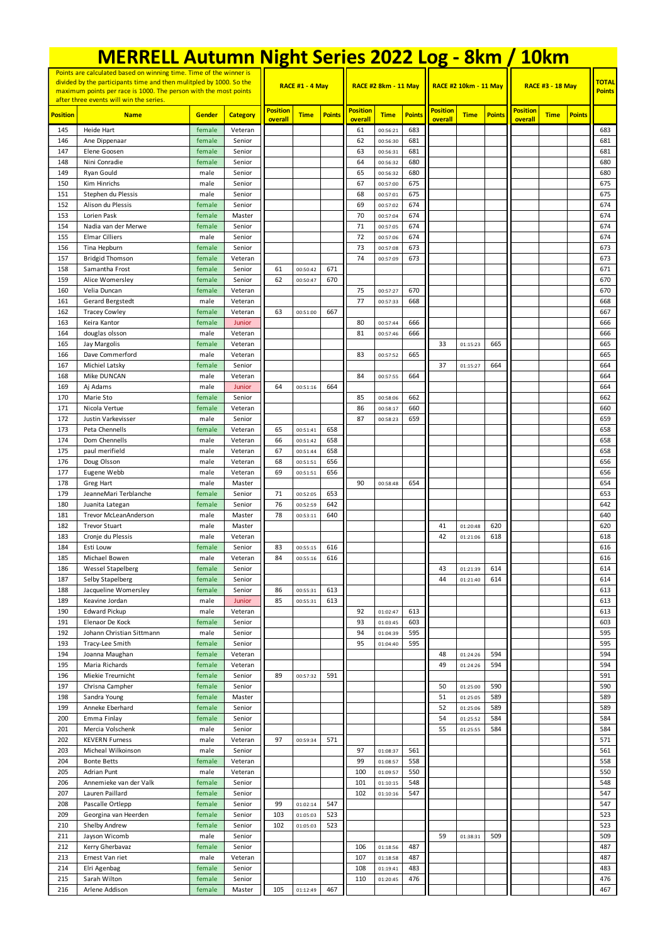|                                                                                                                                                                                                               | <b>MERRELL Autumn Night Series 2022 Log - 8km / 10km</b> |                  |                        |                 |                      |                             |                 |                      |               |                              |             |                         |                 |             |                               |            |
|---------------------------------------------------------------------------------------------------------------------------------------------------------------------------------------------------------------|----------------------------------------------------------|------------------|------------------------|-----------------|----------------------|-----------------------------|-----------------|----------------------|---------------|------------------------------|-------------|-------------------------|-----------------|-------------|-------------------------------|------------|
| Points are calculated based on winning time. Time of the winner is<br>divided by the participants time and then mulitpled by 1000. So the<br>maximum points per race is 1000. The person with the most points |                                                          |                  | <b>RACE #1 - 4 May</b> |                 |                      | <b>RACE #2 8km - 11 May</b> |                 |                      |               | <b>RACE #2 10km - 11 May</b> |             | <b>RACE #3 - 18 May</b> |                 |             | <b>TOTAL</b><br><b>Points</b> |            |
|                                                                                                                                                                                                               | after three events will win the series.                  |                  |                        | <b>Position</b> |                      |                             | <b>Position</b> |                      |               | <b>Position</b>              |             |                         | <b>Position</b> |             |                               |            |
| <b>Position</b>                                                                                                                                                                                               | <b>Name</b>                                              | Gender           | <b>Category</b>        | overall         | <b>Time</b>          | <b>Points</b>               | overall         | <b>Time</b>          | <b>Points</b> | overall                      | <b>Time</b> | <b>Points</b>           | overall         | <b>Time</b> | <b>Points</b>                 |            |
| 145                                                                                                                                                                                                           | Heide Hart                                               | female           | Veteran                |                 |                      |                             | 61              | 00:56:21             | 683           |                              |             |                         |                 |             |                               | 683        |
| 146<br>147                                                                                                                                                                                                    | Ane Dippenaar<br>Elene Goosen                            | female<br>female | Senior<br>Senior       |                 |                      |                             | 62<br>63        | 00:56:30<br>00:56:31 | 681<br>681    |                              |             |                         |                 |             |                               | 681<br>681 |
| 148                                                                                                                                                                                                           | Nini Conradie                                            | female           | Senior                 |                 |                      |                             | 64              | 00:56:32             | 680           |                              |             |                         |                 |             |                               | 680        |
| 149                                                                                                                                                                                                           | Ryan Gould                                               | male             | Senior                 |                 |                      |                             | 65              | 00:56:32             | 680           |                              |             |                         |                 |             |                               | 680        |
| 150                                                                                                                                                                                                           | Kim Hinrichs                                             | male             | Senior                 |                 |                      |                             | 67              | 00:57:00             | 675           |                              |             |                         |                 |             |                               | 675        |
| 151                                                                                                                                                                                                           | Stephen du Plessis                                       | male             | Senior                 |                 |                      |                             | 68              | 00:57:01             | 675           |                              |             |                         |                 |             |                               | 675        |
| 152<br>153                                                                                                                                                                                                    | Alison du Plessis<br>Lorien Pask                         | female<br>female | Senior<br>Master       |                 |                      |                             | 69<br>70        | 00:57:02<br>00:57:04 | 674<br>674    |                              |             |                         |                 |             |                               | 674<br>674 |
| 154                                                                                                                                                                                                           | Nadia van der Merwe                                      | female           | Senior                 |                 |                      |                             | 71              | 00:57:05             | 674           |                              |             |                         |                 |             |                               | 674        |
| 155                                                                                                                                                                                                           | <b>Elmar Cilliers</b>                                    | male             | Senior                 |                 |                      |                             | 72              | 00:57:06             | 674           |                              |             |                         |                 |             |                               | 674        |
| 156                                                                                                                                                                                                           | Tina Hepburn                                             | female           | Senior                 |                 |                      |                             | 73              | 00:57:08             | 673           |                              |             |                         |                 |             |                               | 673        |
| 157                                                                                                                                                                                                           | <b>Bridgid Thomson</b>                                   | female           | Veteran                |                 |                      |                             | 74              | 00:57:09             | 673           |                              |             |                         |                 |             |                               | 673        |
| 158                                                                                                                                                                                                           | Samantha Frost                                           | female           | Senior                 | 61              | 00:50:42             | 671                         |                 |                      |               |                              |             |                         |                 |             |                               | 671        |
| 159<br>160                                                                                                                                                                                                    | Alice Womersley<br>Velia Duncan                          | female<br>female | Senior<br>Veteran      | 62              | 00:50:47             | 670                         | 75              | 00:57:27             | 670           |                              |             |                         |                 |             |                               | 670<br>670 |
| 161                                                                                                                                                                                                           | Gerard Bergstedt                                         | male             | Veteran                |                 |                      |                             | 77              | 00:57:33             | 668           |                              |             |                         |                 |             |                               | 668        |
| 162                                                                                                                                                                                                           | <b>Tracey Cowley</b>                                     | female           | Veteran                | 63              | 00:51:00             | 667                         |                 |                      |               |                              |             |                         |                 |             |                               | 667        |
| 163                                                                                                                                                                                                           | Keira Kantor                                             | female           | Junior                 |                 |                      |                             | 80              | 00:57:44             | 666           |                              |             |                         |                 |             |                               | 666        |
| 164                                                                                                                                                                                                           | douglas olsson                                           | male             | Veteran                |                 |                      |                             | 81              | 00:57:46             | 666           |                              |             |                         |                 |             |                               | 666        |
| 165                                                                                                                                                                                                           | Jay Margolis                                             | female           | Veteran                |                 |                      |                             |                 |                      |               | 33                           | 01:15:23    | 665                     |                 |             |                               | 665        |
| 166<br>167                                                                                                                                                                                                    | Dave Commerford<br>Michiel Latsky                        | male<br>female   | Veteran<br>Senior      |                 |                      |                             | 83              | 00:57:52             | 665           | 37                           | 01:15:27    | 664                     |                 |             |                               | 665<br>664 |
| 168                                                                                                                                                                                                           | Mike DUNCAN                                              | male             | Veteran                |                 |                      |                             | 84              | 00:57:55             | 664           |                              |             |                         |                 |             |                               | 664        |
| 169                                                                                                                                                                                                           | Aj Adams                                                 | male             | Junior                 | 64              | 00:51:16             | 664                         |                 |                      |               |                              |             |                         |                 |             |                               | 664        |
| 170                                                                                                                                                                                                           | Marie Sto                                                | female           | Senior                 |                 |                      |                             | 85              | 00:58:06             | 662           |                              |             |                         |                 |             |                               | 662        |
| 171                                                                                                                                                                                                           | Nicola Vertue                                            | female           | Veteran                |                 |                      |                             | 86              | 00:58:17             | 660           |                              |             |                         |                 |             |                               | 660        |
| 172                                                                                                                                                                                                           | Justin Varkevisser                                       | male             | Senior                 |                 |                      |                             | 87              | 00:58:23             | 659           |                              |             |                         |                 |             |                               | 659        |
| 173<br>174                                                                                                                                                                                                    | Peta Chennells<br>Dom Chennells                          | female<br>male   | Veteran<br>Veteran     | 65<br>66        | 00:51:41<br>00:51:42 | 658<br>658                  |                 |                      |               |                              |             |                         |                 |             |                               | 658<br>658 |
| 175                                                                                                                                                                                                           | paul merifield                                           | male             | Veteran                | 67              | 00:51:44             | 658                         |                 |                      |               |                              |             |                         |                 |             |                               | 658        |
| 176                                                                                                                                                                                                           | Doug Olsson                                              | male             | Veteran                | 68              | 00:51:51             | 656                         |                 |                      |               |                              |             |                         |                 |             |                               | 656        |
| 177                                                                                                                                                                                                           | Eugene Webb                                              | male             | Veteran                | 69              | 00:51:51             | 656                         |                 |                      |               |                              |             |                         |                 |             |                               | 656        |
| 178                                                                                                                                                                                                           | <b>Greg Hart</b>                                         | male             | Master                 |                 |                      |                             | 90              | 00:58:48             | 654           |                              |             |                         |                 |             |                               | 654        |
| 179                                                                                                                                                                                                           | JeanneMari Terblanche                                    | female           | Senior                 | 71              | 00:52:05             | 653                         |                 |                      |               |                              |             |                         |                 |             |                               | 653        |
| 180<br>181                                                                                                                                                                                                    | Juanita Lategan<br><b>Trevor McLeanAnderson</b>          | female<br>male   | Senior<br>Master       | 76<br>78        | 00:52:59<br>00:53:11 | 642<br>640                  |                 |                      |               |                              |             |                         |                 |             |                               | 642<br>640 |
| 182                                                                                                                                                                                                           | <b>Trevor Stuart</b>                                     | male             | Master                 |                 |                      |                             |                 |                      |               | 41                           | 01:20:48    | 620                     |                 |             |                               | 620        |
| 183                                                                                                                                                                                                           | Cronje du Plessis                                        | male             | Veteran                |                 |                      |                             |                 |                      |               | 42                           | 01:21:06    | 618                     |                 |             |                               | 618        |
| 184                                                                                                                                                                                                           | Esti Louw                                                | female           | Senior                 | 83              | 00:55:15             | 616                         |                 |                      |               |                              |             |                         |                 |             |                               | 616        |
| 185                                                                                                                                                                                                           | Michael Bowen                                            | male             | Veteran                | 84              | 00:55:16             | 616                         |                 |                      |               |                              |             |                         |                 |             |                               | 616        |
| 186                                                                                                                                                                                                           | Wessel Stapelberg                                        | female           | Senior                 |                 |                      |                             |                 |                      |               | 43                           | 01:21:39    | 614                     |                 |             |                               | 614        |
| 187<br>188                                                                                                                                                                                                    | Selby Stapelberg<br>Jacqueline Womersley                 | female<br>female | Senior<br>Senior       | 86              | 00:55:31             | 613                         |                 |                      |               | 44                           | 01:21:40    | 614                     |                 |             |                               | 614<br>613 |
| 189                                                                                                                                                                                                           | Keavine Jordan                                           | male             | Junior                 | 85              | 00:55:31             | 613                         |                 |                      |               |                              |             |                         |                 |             |                               | 613        |
| 190                                                                                                                                                                                                           | <b>Edward Pickup</b>                                     | male             | Veteran                |                 |                      |                             | 92              | 01:02:47             | 613           |                              |             |                         |                 |             |                               | 613        |
| 191                                                                                                                                                                                                           | Elenaor De Kock                                          | female           | Senior                 |                 |                      |                             | 93              | 01:03:45             | 603           |                              |             |                         |                 |             |                               | 603        |
| 192                                                                                                                                                                                                           | Johann Christian Sittmann                                | male             | Senior                 |                 |                      |                             | 94              | 01:04:39             | 595           |                              |             |                         |                 |             |                               | 595        |
| 193                                                                                                                                                                                                           | Tracy-Lee Smith                                          | female           | Senior                 |                 |                      |                             | 95              | 01:04:40             | 595           |                              |             |                         |                 |             |                               | 595        |
| 194                                                                                                                                                                                                           | Joanna Maughan                                           | female           | Veteran                |                 |                      |                             |                 |                      |               | 48<br>49                     | 01:24:26    | 594                     |                 |             |                               | 594        |
| 195<br>196                                                                                                                                                                                                    | Maria Richards<br>Miekie Treurnicht                      | female<br>female | Veteran<br>Senior      | 89              | 00:57:32             | 591                         |                 |                      |               |                              | 01:24:26    | 594                     |                 |             |                               | 594<br>591 |
| 197                                                                                                                                                                                                           | Chrisna Campher                                          | female           | Senior                 |                 |                      |                             |                 |                      |               | 50                           | 01:25:00    | 590                     |                 |             |                               | 590        |
| 198                                                                                                                                                                                                           | Sandra Young                                             | female           | Master                 |                 |                      |                             |                 |                      |               | 51                           | 01:25:05    | 589                     |                 |             |                               | 589        |
| 199                                                                                                                                                                                                           | Anneke Eberhard                                          | female           | Senior                 |                 |                      |                             |                 |                      |               | 52                           | 01:25:06    | 589                     |                 |             |                               | 589        |
| 200                                                                                                                                                                                                           | Emma Finlay                                              | female           | Senior                 |                 |                      |                             |                 |                      |               | 54                           | 01:25:52    | 584                     |                 |             |                               | 584        |
| 201<br>202                                                                                                                                                                                                    | Mercia Volschenk                                         | male             | Senior                 | 97              |                      | 571                         |                 |                      |               | 55                           | 01:25:55    | 584                     |                 |             |                               | 584        |
| 203                                                                                                                                                                                                           | <b>KEVERN Furness</b><br>Micheal Wilkoinson              | male<br>male     | Veteran<br>Senior      |                 | 00:59:34             |                             | 97              | 01:08:37             | 561           |                              |             |                         |                 |             |                               | 571<br>561 |
| 204                                                                                                                                                                                                           | <b>Bonte Betts</b>                                       | female           | Veteran                |                 |                      |                             | 99              | 01:08:57             | 558           |                              |             |                         |                 |             |                               | 558        |
| 205                                                                                                                                                                                                           | Adrian Punt                                              | male             | Veteran                |                 |                      |                             | 100             | 01:09:57             | 550           |                              |             |                         |                 |             |                               | 550        |
| 206                                                                                                                                                                                                           | Annemieke van der Valk                                   | female           | Senior                 |                 |                      |                             | 101             | 01:10:15             | 548           |                              |             |                         |                 |             |                               | 548        |
| 207                                                                                                                                                                                                           | Lauren Paillard                                          | female           | Senior                 |                 |                      |                             | 102             | 01:10:16             | 547           |                              |             |                         |                 |             |                               | 547        |
| 208                                                                                                                                                                                                           | Pascalle Ortlepp                                         | female           | Senior                 | 99              | 01:02:14             | 547                         |                 |                      |               |                              |             |                         |                 |             |                               | 547        |
| 209<br>210                                                                                                                                                                                                    | Georgina van Heerden<br>Shelby Andrew                    | female<br>female | Senior<br>Senior       | 103<br>102      | 01:05:03<br>01:05:03 | 523<br>523                  |                 |                      |               |                              |             |                         |                 |             |                               | 523<br>523 |
| 211                                                                                                                                                                                                           | Jayson Wicomb                                            | male             | Senior                 |                 |                      |                             |                 |                      |               | 59                           | 01:38:31    | 509                     |                 |             |                               | 509        |
| 212                                                                                                                                                                                                           | Kerry Gherbavaz                                          | female           | Senior                 |                 |                      |                             | 106             | 01:18:56             | 487           |                              |             |                         |                 |             |                               | 487        |
| 213                                                                                                                                                                                                           | Ernest Van riet                                          | male             | Veteran                |                 |                      |                             | 107             | 01:18:58             | 487           |                              |             |                         |                 |             |                               | 487        |
| 214                                                                                                                                                                                                           | Elri Agenbag                                             | female           | Senior                 |                 |                      |                             | 108             | 01:19:41             | 483           |                              |             |                         |                 |             |                               | 483        |
| 215                                                                                                                                                                                                           | Sarah Wilton                                             | female           | Senior                 |                 |                      |                             | 110             | 01:20:45             | 476           |                              |             |                         |                 |             |                               | 476        |
| 216                                                                                                                                                                                                           | Arlene Addison                                           | female           | Master                 | 105             | 01:12:49             | 467                         |                 |                      |               |                              |             |                         |                 |             |                               | 467        |